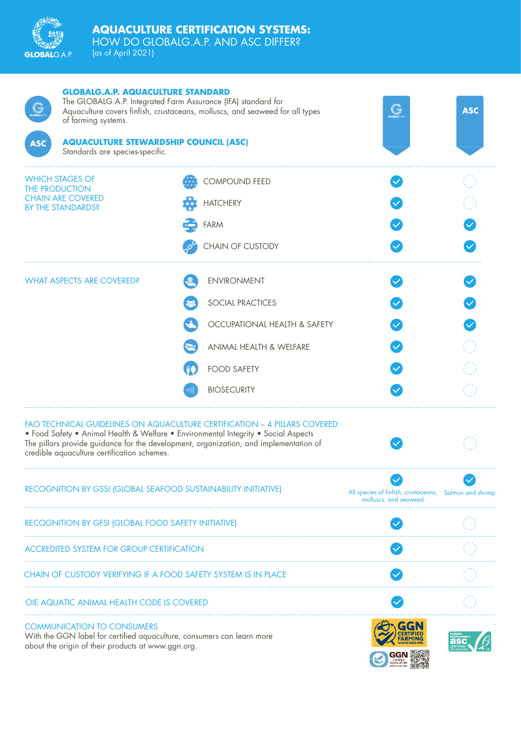

HOW DO GLOBALG.A.P. AND ASC DIFFER? (as of April 2021)

|                                                                                                                                                                                                                                                                                                          | <b>GLOBALG.A.P. AQUACULTURE STANDARD</b><br>The GLOBALG.A.P. Integrated Farm Assurance (IFA) standard for<br>$rac{1}{\sum_{n=1}^{n} \frac{1}{n}}$<br>Aquaculture covers finfish, crustaceans, molluscs, and seaweed for all types<br>of farming systems. |                                         |                                                                                 | <b>ASC</b> |
|----------------------------------------------------------------------------------------------------------------------------------------------------------------------------------------------------------------------------------------------------------------------------------------------------------|----------------------------------------------------------------------------------------------------------------------------------------------------------------------------------------------------------------------------------------------------------|-----------------------------------------|---------------------------------------------------------------------------------|------------|
| <b>ASC</b>                                                                                                                                                                                                                                                                                               | <b>AQUACULTURE STEWARDSHIP COUNCIL (ASC)</b><br>Standards are species-specific.                                                                                                                                                                          |                                         |                                                                                 |            |
| <b>WHICH STAGES OF</b><br>THE PRODUCTION<br><b>CHAIN ARE COVERED</b><br><b>BY THE STANDARDS?</b>                                                                                                                                                                                                         |                                                                                                                                                                                                                                                          | COMPOUND FEED                           |                                                                                 |            |
|                                                                                                                                                                                                                                                                                                          |                                                                                                                                                                                                                                                          | <b>HATCHERY</b>                         |                                                                                 |            |
|                                                                                                                                                                                                                                                                                                          |                                                                                                                                                                                                                                                          | <b>FARM</b>                             |                                                                                 |            |
|                                                                                                                                                                                                                                                                                                          |                                                                                                                                                                                                                                                          | <b>CHAIN OF CUSTODY</b>                 |                                                                                 |            |
| <b>WHAT ASPECTS ARE COVERED?</b>                                                                                                                                                                                                                                                                         |                                                                                                                                                                                                                                                          | <b>ENVIRONMENT</b>                      |                                                                                 |            |
|                                                                                                                                                                                                                                                                                                          |                                                                                                                                                                                                                                                          | SOCIAL PRACTICES                        |                                                                                 |            |
|                                                                                                                                                                                                                                                                                                          |                                                                                                                                                                                                                                                          | <b>OCCUPATIONAL HEALTH &amp; SAFETY</b> |                                                                                 |            |
|                                                                                                                                                                                                                                                                                                          |                                                                                                                                                                                                                                                          | ANIMAL HEALTH & WELFARE                 |                                                                                 |            |
|                                                                                                                                                                                                                                                                                                          |                                                                                                                                                                                                                                                          | <b>FOOD SAFETY</b>                      |                                                                                 |            |
|                                                                                                                                                                                                                                                                                                          |                                                                                                                                                                                                                                                          | <b>BIOSECURITY</b>                      |                                                                                 |            |
| FAO TECHNICAL GUIDELINES ON AQUACULTURE CERTIFICATION - 4 PILLARS COVERED:<br>• Food Safety • Animal Health & Welfare • Environmental Integrity • Social Aspects<br>The pillars provide guidance for the development, organization, and implementation of<br>credible aquaculture certification schemes. |                                                                                                                                                                                                                                                          |                                         |                                                                                 |            |
| RECOGNITION BY GSSI (GLOBAL SEAFOOD SUSTAINABILITY INITIATIVE)                                                                                                                                                                                                                                           |                                                                                                                                                                                                                                                          |                                         | All species of finfish, crustaceans, Salmon and shrimp<br>molluscs, and seaweed |            |
| RECOGNITION BY GFSI (GLOBAL FOOD SAFETY INITIATIVE)                                                                                                                                                                                                                                                      |                                                                                                                                                                                                                                                          |                                         |                                                                                 |            |
| <b>ACCREDITED SYSTEM FOR GROUP CERTIFICATION</b>                                                                                                                                                                                                                                                         |                                                                                                                                                                                                                                                          |                                         |                                                                                 |            |
| CHAIN OF CUSTODY VERIFYING IF A FOOD SAFETY SYSTEM IS IN PLACE                                                                                                                                                                                                                                           |                                                                                                                                                                                                                                                          |                                         |                                                                                 |            |
| OIE AQUATIC ANIMAL HEALTH CODE IS COVERED                                                                                                                                                                                                                                                                |                                                                                                                                                                                                                                                          |                                         |                                                                                 |            |
| <b>COMMUNICATION TO CONSUMERS</b><br>With the GGN label for certified aquaculture, consumers can learn more<br>about the origin of their products at www.ggn.org.                                                                                                                                        |                                                                                                                                                                                                                                                          |                                         | <b>GGN</b><br>AQUACULTURE                                                       |            |